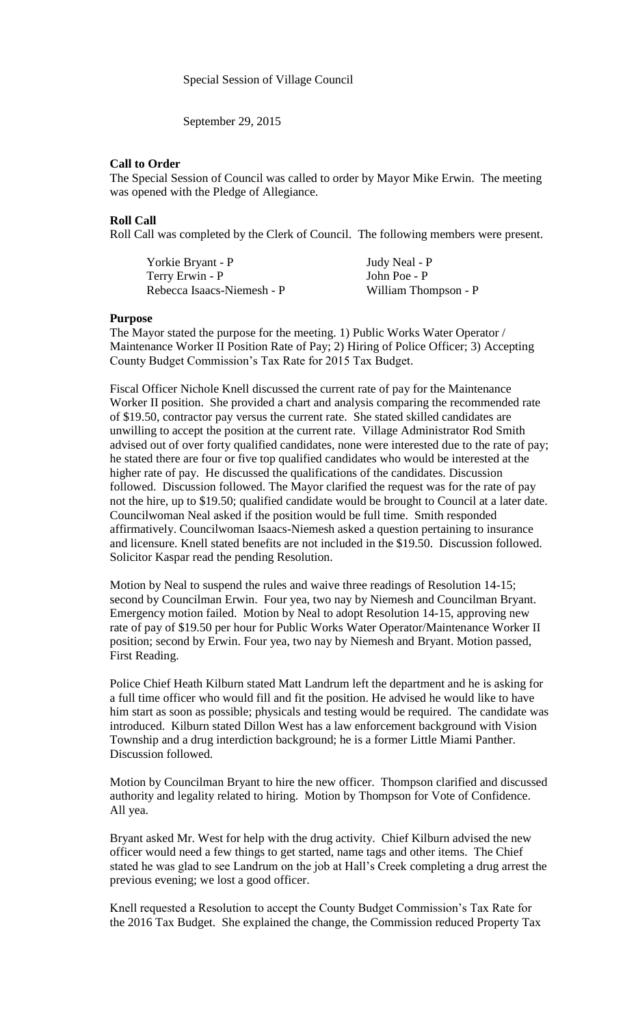Special Session of Village Council

September 29, 2015

## **Call to Order**

The Special Session of Council was called to order by Mayor Mike Erwin. The meeting was opened with the Pledge of Allegiance.

## **Roll Call**

Roll Call was completed by the Clerk of Council. The following members were present.

| Yorkie Bryant - P          | Judy Neal - P        |
|----------------------------|----------------------|
| Terry Erwin - P            | John Poe - P         |
| Rebecca Isaacs-Niemesh - P | William Thompson - P |

## **Purpose**

The Mayor stated the purpose for the meeting. 1) Public Works Water Operator / Maintenance Worker II Position Rate of Pay; 2) Hiring of Police Officer; 3) Accepting County Budget Commission's Tax Rate for 2015 Tax Budget.

Fiscal Officer Nichole Knell discussed the current rate of pay for the Maintenance Worker II position. She provided a chart and analysis comparing the recommended rate of \$19.50, contractor pay versus the current rate. She stated skilled candidates are unwilling to accept the position at the current rate. Village Administrator Rod Smith advised out of over forty qualified candidates, none were interested due to the rate of pay; he stated there are four or five top qualified candidates who would be interested at the higher rate of pay. He discussed the qualifications of the candidates. Discussion followed. Discussion followed. The Mayor clarified the request was for the rate of pay not the hire, up to \$19.50; qualified candidate would be brought to Council at a later date. Councilwoman Neal asked if the position would be full time. Smith responded affirmatively. Councilwoman Isaacs-Niemesh asked a question pertaining to insurance and licensure. Knell stated benefits are not included in the \$19.50. Discussion followed. Solicitor Kaspar read the pending Resolution.

Motion by Neal to suspend the rules and waive three readings of Resolution 14-15; second by Councilman Erwin. Four yea, two nay by Niemesh and Councilman Bryant. Emergency motion failed. Motion by Neal to adopt Resolution 14-15, approving new rate of pay of \$19.50 per hour for Public Works Water Operator/Maintenance Worker II position; second by Erwin. Four yea, two nay by Niemesh and Bryant. Motion passed, First Reading.

Police Chief Heath Kilburn stated Matt Landrum left the department and he is asking for a full time officer who would fill and fit the position. He advised he would like to have him start as soon as possible; physicals and testing would be required. The candidate was introduced. Kilburn stated Dillon West has a law enforcement background with Vision Township and a drug interdiction background; he is a former Little Miami Panther. Discussion followed.

Motion by Councilman Bryant to hire the new officer. Thompson clarified and discussed authority and legality related to hiring. Motion by Thompson for Vote of Confidence. All yea.

Bryant asked Mr. West for help with the drug activity. Chief Kilburn advised the new officer would need a few things to get started, name tags and other items. The Chief stated he was glad to see Landrum on the job at Hall's Creek completing a drug arrest the previous evening; we lost a good officer.

Knell requested a Resolution to accept the County Budget Commission's Tax Rate for the 2016 Tax Budget. She explained the change, the Commission reduced Property Tax